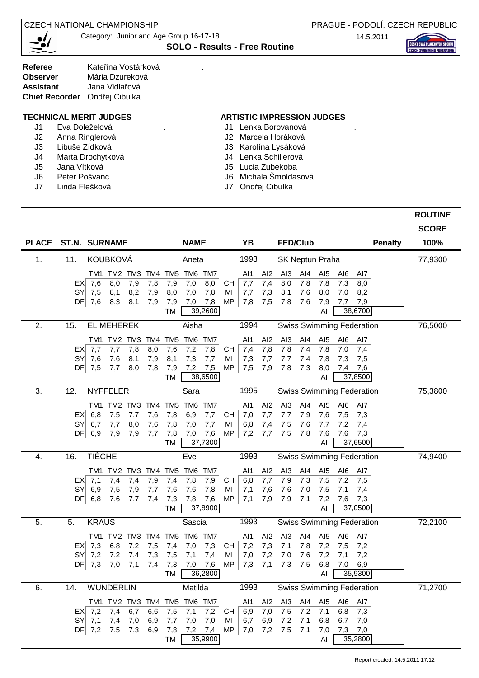**CZECH NATIONAL CHAMPIONSHIP** 



Category: Junior and Age Group 16-17-18

**SOLO - Results - Free Routine**

PRAGUE - PODOLÍ, CZECH REPUBLIC 14.5.2011

| <b>Referee</b>                | Kateřina Vostárková |  |
|-------------------------------|---------------------|--|
| Observer                      | Mária Dzureková     |  |
| <b>Assistant</b>              | Jana Vidlařová      |  |
| Chief Recorder Ondřej Cibulka |                     |  |

- J1 Eva Doleželová . J1 Lenka Borovanová .
	- J2 Anna Ringlerová J2 Marcela Horáková
	- J3 Libuše Zídková J3 Karolína Lysáková
	- J4 Marta Drochytková J4 Lenka Schillerová
	- J5 Jana Vítková J5 Lucia Zubekoba
	-
	- J7 Linda Flešková J7 Ondřej Cibulka

## **TECHNICAL MERIT JUDGES ARTISTIC IMPRESSION JUDGES**

- 
- 
- 
- 
- 
- J6 Peter Pošvanc J6 Michala Šmoldasová
	-

|              |                                                                 |                                                           |                                                                                                | <b>ROUTINE</b> |
|--------------|-----------------------------------------------------------------|-----------------------------------------------------------|------------------------------------------------------------------------------------------------|----------------|
|              |                                                                 |                                                           |                                                                                                | <b>SCORE</b>   |
| <b>PLACE</b> | <b>ST.N. SURNAME</b>                                            | <b>NAME</b>                                               | YB<br><b>FED/Club</b><br><b>Penalty</b>                                                        | 100%           |
| 1.           | <b>KOUBKOVÁ</b><br>11.                                          | Aneta                                                     | 1993<br><b>SK Neptun Praha</b>                                                                 | 77,9300        |
|              | TM1 TM2 TM3 TM4                                                 | TM6 TM7<br>TM5                                            | AI1<br>AI <sub>2</sub><br>AI <sub>3</sub><br>AI4<br>AI <sub>5</sub><br>AI6<br>Al7              |                |
|              | 7,8<br>$EX$ 7,6<br>8,0<br>7,9                                   | 7,9<br>7,0<br>8,0<br><b>CH</b>                            | 7,4<br>7,8<br>7,7<br>8,0<br>7,8<br>7,3<br>8,0                                                  |                |
|              | 8,2<br>SY<br>7,5<br>8,1<br>7,9<br>DF  7,6<br>8,3<br>8,1<br>7,9  | 8,0<br>7,0<br>7,8<br>MI<br><b>MP</b><br>7,0<br>7,8<br>7,9 | 7,3<br>8,1<br>7,6<br>8,0<br>7,7<br>7,0<br>8,2<br>7,5<br>7,6<br>7,8<br>7,8<br>7,9<br>7,7<br>7,9 |                |
|              |                                                                 | 39,2600<br>TM                                             | 38,6700<br>AI                                                                                  |                |
| 2.           | <b>EL MEHEREK</b><br>15.                                        | Aisha                                                     | 1994<br><b>Swiss Swimming Federation</b>                                                       | 76,5000        |
|              | TM2 TM3<br>TM4<br>TM1                                           | TM <sub>5</sub><br>TM6 TM7                                | Al <sub>2</sub><br>AI <sub>3</sub><br>Al4<br>AI <sub>5</sub><br>AI6<br>AI1<br>AI7              |                |
|              | 7,7<br>7,8<br>8,0<br>$EX$ 7,7                                   | 7,6<br>7,2<br>7,8<br><b>CH</b>                            | 7,8<br>7,4<br>7,8<br>7,4<br>7,8<br>7,0<br>7,4                                                  |                |
|              | 7,6<br>7,6<br>SY<br>8,1<br>7,9                                  | 7,3<br>8,1<br>7,7<br>MI                                   | 7,7<br>7,8<br>7,3<br>7,7<br>7,4<br>7,3<br>7,5                                                  |                |
|              | DF  7,5<br>7,7<br>8,0<br>7,8                                    | 7,9<br>7,2<br>7,5<br>MP<br>38,6500<br>TM                  | 7,5<br>7,9<br>7,8<br>7,3<br>8,0<br>7,4<br>7,6<br>37,8500<br>AI                                 |                |
| 3.           | 12.<br><b>NYFFELER</b>                                          | Sara                                                      | 1995<br><b>Swiss Swimming Federation</b>                                                       | 75,3800        |
|              | TM <sub>2</sub><br>TM3 TM4<br>TM1                               | TM <sub>5</sub><br>TM6<br>TM7                             | AI1<br>Al <sub>2</sub><br>AI <sub>3</sub><br>AI4<br>AI <sub>5</sub><br>AI6<br>AI7              |                |
|              | 7,6<br>6,8<br>7,5<br>7,7<br>EXI                                 | 7,8<br>6,9<br>7,7<br><b>CH</b>                            | 7,0<br>7,7<br>7,6<br>7,7<br>7,9<br>7,3<br>7,5                                                  |                |
|              | SY<br>6,7<br>7,7<br>8,0<br>7,6                                  | 7,8<br>7,0<br>7,7<br>MI                                   | 6,8<br>7,4<br>7,5<br>7,6<br>7,7<br>7,2<br>7,4                                                  |                |
|              | DF  6,9<br>7,9<br>7,9<br>7,7                                    | <b>MP</b><br>7,8<br>7,0<br>7,6<br>37,7300<br>TM           | 7,2<br>7,7<br>7,5<br>$\overline{7,6}$<br>7,8<br>7,6<br>7,3<br>37,6500<br>AI                    |                |
| 4.           | <b>TIÈCHE</b><br>16.                                            | Eve                                                       | 1993<br><b>Swiss Swimming Federation</b>                                                       | 74,9400        |
|              | TM1<br>TM2<br>TM3<br>TM4                                        | TM <sub>6</sub><br>TM7<br>TM <sub>5</sub>                 | AI3<br>Al4<br>AI <sub>5</sub><br>AI1<br>AI <sub>2</sub><br>AI6<br>AI7                          |                |
|              | 7,4<br>7,4<br>7,9<br>$EX$ 7,1                                   | 7,4<br>7,8<br>7,9<br><b>CH</b>                            | 7,7<br>6,8<br>7,9<br>7,5<br>7,3<br>7,2<br>7,5                                                  |                |
|              | <b>SY</b><br>6,9<br>7,5<br>7,9<br>7,7                           | 7,6<br>7,6<br>7,8<br>MI                                   | 7,5<br>7,1<br>7,6<br>7,6<br>7,0<br>7,1<br>7,4                                                  |                |
|              | DF  6,8<br>7,6<br>7,4<br>7,7                                    | 7,3<br>MP<br>7,8<br>7,6<br>37,8900<br>TM                  | 7,9<br>7,2<br>7,1<br>7,9<br>7,1<br>7,6<br>7,3<br>37,0500<br>AI                                 |                |
| 5.           | 5.<br><b>KRAUS</b>                                              | Sascia                                                    | 1993<br><b>Swiss Swimming Federation</b>                                                       | 72,2100        |
|              | TM2<br>TM4<br>TM1<br>TM3                                        | TM <sub>6</sub><br>TM7<br>TM <sub>5</sub>                 | AI <sub>3</sub><br>AI4<br>AI <sub>5</sub><br>Al1<br>AI <sub>2</sub><br>AI6<br>Al7              |                |
|              | 6,8<br>$EX$ 7,3<br>7,2<br>7,5                                   | 7,0<br>7,3<br>7,4<br><b>CH</b>                            | 7,3<br>7,2<br>7,1<br>7,8<br>7,2<br>7,5<br>7,2                                                  |                |
|              | SY<br>7,2<br>7,2<br>7,4<br>7,3                                  | 7,5<br>7,1<br>7,4<br>MI                                   | 7,2<br>7,2<br>7,0<br>7,0<br>7,6<br>7,1<br>7,2                                                  |                |
|              | DF  7,3<br>7,0<br>7,1<br>7,4                                    | 7,3<br>7,6<br>MP<br>7,0                                   | 7,1<br>6,9<br>7,3<br>7,3<br>7,5<br>6,8<br>7,0                                                  |                |
|              |                                                                 | 36,2800<br>TM                                             | 35,9300<br>AI                                                                                  |                |
| 6.           | 14.<br><b>WUNDERLIN</b>                                         | Matilda                                                   | 1993<br><b>Swiss Swimming Federation</b>                                                       | 71,2700        |
|              | TM1 TM2 TM3 TM4                                                 | TM5<br>TM6 TM7                                            | AI1<br>Al2<br>AI <sub>3</sub><br>AI4<br>AI <sub>5</sub><br>AI6<br>Al7                          |                |
|              | $EX$ 7,2<br>7,4<br>6,7<br>6,6<br>SY<br>7,1<br>6,9<br>7,4<br>7,0 | 7,5<br>7,2<br>7,1<br><b>CH</b><br>7,7<br>7,0<br>7,0<br>MI | 6,9<br>7,0<br>7,5<br>7,2<br>7,1<br>6,8<br>7,3<br>6,8<br>6,7<br>6,9<br>7,2<br>7,1<br>6,7<br>7,0 |                |
|              | DF  7,2<br>7,5<br>7,3<br>6,9                                    | MP<br>7,8<br>7,2 7,4                                      | 7,2<br>7,5<br>7,1<br>7,3<br>7,0<br>7,0<br>7,0                                                  |                |
|              |                                                                 | TM<br>35,9900                                             | 35,2800<br>AI                                                                                  |                |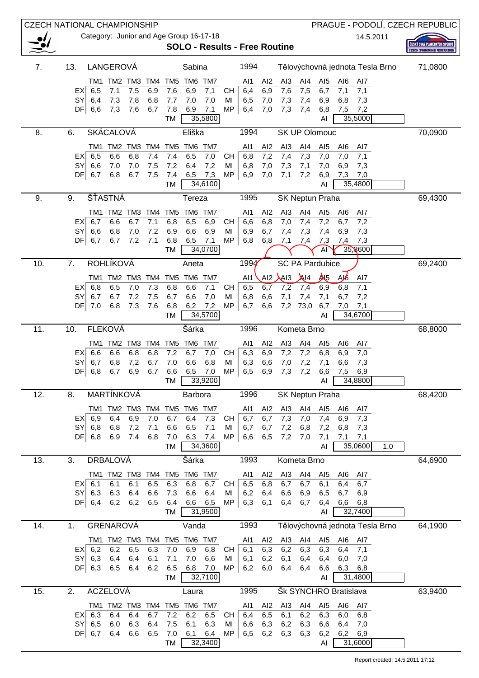| <b>CZECH NATIONAL CHAMPIONSHIP</b> |                  |                |                    |            |            |                        |            |                                         |                 |                                      |                        |                        |                                |                        |                                 |                |     | PRAGUE - PODOLÍ, CZECH REPUBLIC  |
|------------------------------------|------------------|----------------|--------------------|------------|------------|------------------------|------------|-----------------------------------------|-----------------|--------------------------------------|------------------------|------------------------|--------------------------------|------------------------|---------------------------------|----------------|-----|----------------------------------|
|                                    |                  |                |                    |            |            |                        |            | Category: Junior and Age Group 16-17-18 |                 |                                      |                        |                        |                                |                        |                                 | 14.5.2011      |     | ČESKÝ SVAZ PLAVECKÝCH SPORT      |
|                                    |                  |                |                    |            |            |                        |            |                                         |                 | <b>SOLO - Results - Free Routine</b> |                        |                        |                                |                        |                                 |                |     | <b>CZECH SWIMMING FEDERATION</b> |
| 7.                                 | 13.              |                | LANGEROVÁ          |            |            |                        | Sabina     |                                         |                 | 1994                                 |                        |                        |                                |                        | Tělovýchovná jednota Tesla Brno |                |     | 71,0800                          |
|                                    |                  | TM1            |                    | TM2 TM3    | TM4        | TM <sub>5</sub>        |            | TM6 TM7                                 |                 | AI1                                  | AI <sub>2</sub>        | AI3                    | AI4                            | AI <sub>5</sub>        | AI6                             | AI7            |     |                                  |
|                                    | EXI              | 6,5            | 7,1                | 7,5        | 6,9        | 7,6                    | 6,9        | 7,1                                     | CН              | 6,4                                  | 6,9                    | 7,6                    | 7,5                            | 6,7                    | 7,1                             | 7,1            |     |                                  |
|                                    | <b>SY</b><br>DF  | 6,4<br>6,6     | 7,3<br>7,3         | 7,8<br>7,6 | 6,8<br>6,7 | 7,7<br>7,8             | 7,0<br>6,9 | 7,0<br>7,1                              | MI<br><b>MP</b> | 6,5<br>6,4                           | 7,0<br>7,0             | 7,3<br>7,3             | 7,4<br>7,4                     | 6,9<br>6,8             | 6,8<br>7,5                      | 7,3<br>7,2     |     |                                  |
|                                    |                  |                |                    |            |            | TM                     |            | 35,5800                                 |                 |                                      |                        |                        |                                | AI                     | 35,5000                         |                |     |                                  |
| 8.                                 | 6.               |                | <b>SKÁCALOVÁ</b>   |            |            |                        | Eliška     |                                         |                 | 1994                                 |                        |                        | <b>SK UP Olomouc</b>           |                        |                                 |                |     | 70,0900                          |
|                                    |                  | TM1            | TM <sub>2</sub>    | TM3        | TM4        | TM <sub>5</sub>        |            | TM6 TM7                                 |                 | AI1                                  | Al <sub>2</sub>        | AI <sub>3</sub>        | AI4                            | AI <sub>5</sub>        | AI6                             | AI7            |     |                                  |
|                                    | EXI<br><b>SY</b> | 6,5<br>6,6     | 6,6<br>7,0         | 6,8<br>7,0 | 7,4<br>7,5 | 7,4<br>7,2             | 6,5<br>6,4 | 7,0<br>7,2                              | CН<br>MI        | 6,8<br>6,8                           | 7,2<br>7,0             | 7,4<br>7,3             | 7,3<br>7,1                     | 7,0<br>7,0             | 7,0<br>6,9                      | 7,1<br>7,3     |     |                                  |
|                                    | DF <sub>l</sub>  | 6,7            | 6,8                | 6,7        | 7,5        | 7,4                    | 6,5        | 7,3                                     | <b>MP</b>       | 6,9                                  | 7,0                    | 7,1                    | 7,2                            | 6,9                    | 7,3                             | 7,0            |     |                                  |
|                                    |                  |                |                    |            |            | <b>TM</b>              |            | 34,6100                                 |                 |                                      |                        |                        |                                | AI                     |                                 | 35,4800        |     |                                  |
| 9.                                 | 9.               |                | ŠŤASTNÁ            |            |            |                        | Tereza     |                                         |                 | 1995                                 |                        |                        | SK Neptun Praha                |                        |                                 |                |     | 69,4300                          |
|                                    |                  | EX  6,7        | TM1 TM2<br>6,6     | TM3<br>6,7 | TM4<br>7,1 | TM <sub>5</sub><br>6,8 | 6,5        | TM6 TM7<br>6,9                          | CH              | AI1<br>6,6                           | AI <sub>2</sub><br>6,8 | AI <sub>3</sub><br>7,0 | AI4<br>7,4                     | AI <sub>5</sub><br>7,2 | AI6<br>6,7                      | AI7<br>7,2     |     |                                  |
|                                    | <b>SY</b>        | 6,6            | 6,8                | 7,0        | 7,2        | 6,9                    | 6,6        | 6,9                                     | MI              | 6,9                                  | 6,7                    | 7,4                    | 7,3                            | 7,4                    | 6,9                             | 7,3            |     |                                  |
|                                    | DF               | 6,7            | 6,7                | 7,2        | 7,1        | 6,8                    | 6,5        | 7,1                                     | <b>MP</b>       | 6,8                                  | 6,8                    | 7,1                    | 7,4                            | 7,3                    | 7,4                             | 7,3            |     |                                  |
|                                    |                  |                |                    |            |            | TM                     |            | 34,0700                                 |                 |                                      |                        |                        |                                | Al                     |                                 | 35,8600        |     |                                  |
| 10.                                | 7.               |                | <b>ROHLÍKOVÁ</b>   |            |            |                        | Aneta      |                                         |                 | 1994                                 |                        |                        | <b>SC PA Pardubice</b>         |                        |                                 |                |     | 69,2400                          |
|                                    |                  | EX  6,8        | TM1 TM2<br>6,5     | тмз<br>7,0 | TM4<br>7,3 | TM <sub>5</sub><br>6,8 | 6,6        | TM6 TM7<br>7,1                          | CH              | Al1<br>6,5                           | AI2<br>6,7             | Al <sub>3</sub><br>7,2 | $\lambda$ <sub>14</sub><br>7,4 | A <sub>5</sub><br>6,9  | AJ6<br>6,8                      | AI7<br>7,1     |     |                                  |
|                                    | SY               | 6,7            | 6,7                | 7,2        | 7,5        | 6,7                    | 6,6        | 7,0                                     | MI              | 6,8                                  | 6,6                    | 7,1                    | 7,4                            | 7,1                    | 6,7                             | 7,2            |     |                                  |
|                                    | DF               | 7,0            | 6,8                | 7,3        | 7,6        | 6,8                    | 6,2        | 7,2                                     | <b>MP</b>       | 6,7                                  | 6,6                    | 7,2                    | 73,0                           | 6,7                    | 7,0                             | 7,1            |     |                                  |
| 11.                                | 10.              |                | <b>FLEKOVÁ</b>     |            |            | <b>TM</b>              | Šárka      | 34,5700                                 |                 | 1996                                 |                        |                        |                                | AI                     |                                 | 34,6700        |     |                                  |
|                                    |                  |                |                    |            |            |                        |            |                                         |                 |                                      |                        |                        | Kometa Brno                    |                        |                                 |                |     | 68,8000                          |
|                                    | EXI              | 6,6            | TM1 TM2 TM3<br>6,6 | 6,8        | TM4<br>6,8 | TM <sub>5</sub><br>7,2 | 6,7        | TM6 TM7<br>7,0                          | CH              | Al1<br>6,3                           | AI2<br>6,9             | AI <sub>3</sub><br>7,2 | AI4<br>7,2                     | AI5<br>6,8             | AI6<br>6,9                      | Al7<br>7,0     |     |                                  |
|                                    | SY               | 6,7            | 6,8                | 7,2        | 6,7        | 7,0                    | 6,6        | 6,8                                     | MI              | 6,3                                  | 6,6                    | 7,0                    | 7,2                            | 7,1                    | 6,6                             | 7,3            |     |                                  |
|                                    | DF               | 6,8            | 6,7                | 6,9        | 6,7        | 6,6<br>ТM              | 6,5        | 7,0<br>33,9200                          | <b>MP</b>       | 6,5                                  | 6,9                    | 7,3                    | 7,2                            | 6,6<br>Al              | 7,5                             | 6,9<br>34,8800 |     |                                  |
| 12.                                | 8.               |                | MARTÍNKOVÁ         |            |            |                        | Barbora    |                                         |                 | 1996                                 |                        |                        | <b>SK Neptun Praha</b>         |                        |                                 |                |     | 68,4200                          |
|                                    |                  |                | TM1 TM2 TM3        |            | TM4        | TM5                    |            | TM6 TM7                                 |                 | AI1                                  | AI <sub>2</sub>        | AI <sub>3</sub>        | AI4                            | AI <sub>5</sub>        | AI6                             | Al7            |     |                                  |
|                                    |                  | EX  6,9        | 6,4                | 6,9        | 7,0        | 6,7                    | 6,4        | 7,3                                     | <b>CH</b>       | 6,7                                  | 6,7                    | 7,3                    | 7,0                            | 7,4                    | 6,9                             | 7,3            |     |                                  |
|                                    |                  | $SY$ 6,8       | 6,8                | 7,2        | 7,1        | 6,6                    | 6,5        | 7,1                                     | MI              | 6,7                                  | 6,7                    | 7,2                    | 6,8                            | 7,2                    | 6,8                             | 7,3            |     |                                  |
|                                    |                  | DF  6,8        | 6,9                | 7,4        | 6,8        | 7,0<br>TM              | 6,3        | 7,4<br>34,3600                          | MP              | 6,6                                  | 6,5                    | 7,2                    | 7,0                            | 7,1<br>AI              | 7,1                             | 7,1<br>35,0600 | 1,0 |                                  |
| 13.                                | 3.               |                | <b>DRBALOVÁ</b>    |            |            |                        | Šárka      |                                         |                 | 1993                                 |                        |                        | Kometa Brno                    |                        |                                 |                |     | 64,6900                          |
|                                    |                  |                | TM1 TM2 TM3        |            | TM4        | TM <sub>5</sub>        |            | TM6 TM7                                 |                 | AI1                                  | Al <sub>2</sub>        | AI <sub>3</sub>        | Al4                            | AI <sub>5</sub>        | Al6                             | Al7            |     |                                  |
|                                    | SY               | EX  6,1<br>6,3 | 6,1<br>6,3         | 6,1<br>6,4 | 6,5<br>6,6 | 6,3                    | 6,8        | 6,7                                     | CH              | 6,5<br>6,2                           | 6,8                    | 6,7<br>6,6             | 6,7                            | 6,1<br>6,5             | 6,4                             | 6,7            |     |                                  |
|                                    |                  | DF  6,4        | 6,2                | 6,2        | 6,5        | 7,3<br>6,4             | 6,6<br>6,6 | 6,4<br>6,5                              | MI<br><b>MP</b> | 6,3                                  | 6,4<br>6,1             | 6,4                    | 6,9<br>6,7                     | 6,4                    | 6,7<br>6,6                      | 6,9<br>6,8     |     |                                  |
|                                    |                  |                |                    |            |            | TM                     |            | 31,9500                                 |                 |                                      |                        |                        |                                | AI                     |                                 | 32,7400        |     |                                  |
| 14.                                | 1.               |                | GRENAROVÁ          |            |            |                        | Vanda      |                                         |                 | 1993                                 |                        |                        |                                |                        | Tělovýchovná jednota Tesla Brno |                |     | 64,1900                          |
|                                    |                  |                | TM1 TM2 TM3        |            | TM4        | TM <sub>5</sub>        |            | TM6 TM7                                 |                 | AI1                                  | AI <sub>2</sub>        | AI <sub>3</sub>        | AI4                            | AI <sub>5</sub>        | AI6                             | AI7            |     |                                  |
|                                    | SY               | EX  6,2<br>6,3 | 6,2<br>6,4         | 6,5<br>6,4 | 6,3<br>6,1 | 7,0<br>7,1             | 6,9<br>7,0 | 6,8<br>6,6                              | CН<br>MI        | 6,1<br>6,1                           | 6,3<br>6,2             | 6,2<br>6,1             | 6,3<br>6,4                     | 6,3<br>6,4             | 6,4<br>6,0                      | 7,1<br>7,0     |     |                                  |
|                                    | DFI              | 6,3            | 6,5                | 6,4        | 6,2        | 6,5                    | 6,8        | 7,0                                     | <b>MP</b>       | 6,2                                  | 6,0                    | 6,4                    | 6,4                            | 6,6                    | 6,3                             | 6,8            |     |                                  |
|                                    |                  |                |                    |            |            | TM                     |            | 32,7100                                 |                 |                                      |                        |                        |                                | AI                     |                                 | 31,4800        |     |                                  |
| 15.                                | 2.               |                | <b>ACZELOVÁ</b>    |            |            |                        | Laura      |                                         |                 | 1995                                 | Šk SYNCHRO Bratislava  |                        |                                |                        |                                 |                |     | 63,9400                          |
|                                    |                  | TM1<br>EX  6,3 | TM2<br>6,4         | TM3<br>6,4 | TM4<br>6,7 | TM <sub>5</sub><br>7,2 | 6,2        | TM6 TM7<br>6,5                          | <b>CH</b>       | AI1<br>6,4                           | AI <sub>2</sub><br>6,5 | AI <sub>3</sub><br>6,1 | AI4<br>6,2                     | AI <sub>5</sub><br>6,3 | AI6<br>6,0                      | AI7<br>6,8     |     |                                  |
|                                    | SY               | 6,5            | 6,0                | 6,3        | 6,4        | 7,5                    | 6,1        | 6,3                                     | MI              | 6,6                                  | 6,3                    | 6,2                    | 6,3                            | 6,6                    | 6,4                             | 7,0            |     |                                  |
|                                    |                  | DF  6,7        | 6,4                | 6,6        | 6,5        | 7,0<br>TM              | 6,1        | 6,4<br>32,3400                          | <b>MP</b>       | 6,5                                  | 6,2                    | 6,3                    | 6,3                            | 6,2                    | 6,2                             | 6,9<br>31,6000 |     |                                  |
|                                    |                  |                |                    |            |            |                        |            |                                         |                 |                                      |                        |                        |                                | Al                     |                                 |                |     |                                  |

Report created: 14.5.2011 17:12